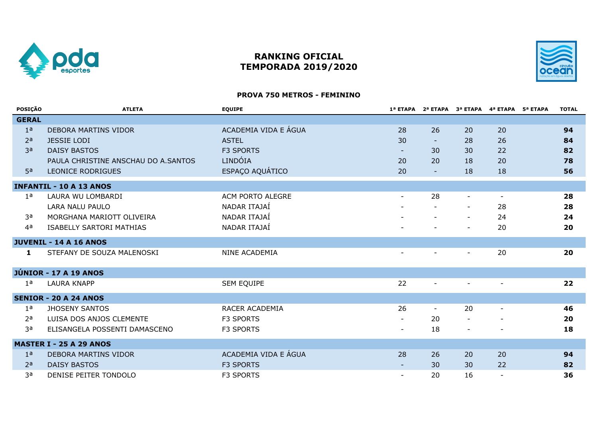

# **RANKING OFICIAL TEMPORADA 2019/2020**



## **PROVA 750 METROS - FEMININO**

| POSIÇÃO        | <b>ATLETA</b>                       | <b>EQUIPE</b>        |                          |                          | 1ª ETAPA 2ª ETAPA 3ª ETAPA 4ª ETAPA 5ª ETAPA |                          | <b>TOTAL</b> |
|----------------|-------------------------------------|----------------------|--------------------------|--------------------------|----------------------------------------------|--------------------------|--------------|
| <b>GERAL</b>   |                                     |                      |                          |                          |                                              |                          |              |
| 1 <sup>a</sup> | DEBORA MARTINS VIDOR                | ACADEMIA VIDA E ÁGUA | 28                       | 26                       | 20                                           | 20                       | 94           |
| 2 <sup>a</sup> | <b>JESSIE LODI</b>                  | <b>ASTEL</b>         | 30                       | $\sim$                   | 28                                           | 26                       | 84           |
| 3 <sup>a</sup> | <b>DAISY BASTOS</b>                 | <b>F3 SPORTS</b>     | $\sim$                   | 30                       | 30                                           | 22                       | 82           |
|                | PAULA CHRISTINE ANSCHAU DO A.SANTOS | LINDÓIA              | 20                       | 20                       | 18                                           | 20                       | 78           |
| 5 <sup>a</sup> | LEONICE RODRIGUES                   | ESPAÇO AQUÁTICO      | 20                       | $\equiv$                 | 18                                           | 18                       | 56           |
|                | <b>INFANTIL - 10 A 13 ANOS</b>      |                      |                          |                          |                                              |                          |              |
| 1 <sup>a</sup> | LAURA WU LOMBARDI                   | ACM PORTO ALEGRE     |                          | 28                       |                                              | $\overline{\phantom{a}}$ | 28           |
|                | LARA NALU PAULO                     | NADAR ITAJAÍ         |                          |                          |                                              | 28                       | 28           |
| 3a             | MORGHANA MARIOTT OLIVEIRA           | NADAR ITAJAÍ         |                          |                          | $\overline{\phantom{a}}$                     | 24                       | 24           |
| 4 <sup>a</sup> | ISABELLY SARTORI MATHIAS            | NADAR ITAJAÍ         |                          | $\overline{\phantom{a}}$ | $\sim$                                       | 20                       | 20           |
|                | <b>JUVENIL - 14 A 16 ANOS</b>       |                      |                          |                          |                                              |                          |              |
| 1              | STEFANY DE SOUZA MALENOSKI          | NINE ACADEMIA        | $\overline{\phantom{a}}$ |                          | $\overline{\phantom{a}}$                     | 20                       | 20           |
|                | <b>JÚNIOR - 17 A 19 ANOS</b>        |                      |                          |                          |                                              |                          |              |
| 1 <sup>a</sup> | <b>LAURA KNAPP</b>                  | <b>SEM EQUIPE</b>    | 22                       | $\overline{\phantom{a}}$ | $\overline{\phantom{a}}$                     | $\blacksquare$           | 22           |
|                | <b>SENIOR - 20 A 24 ANOS</b>        |                      |                          |                          |                                              |                          |              |
| 1 <sup>a</sup> | <b>JHOSENY SANTOS</b>               | RACER ACADEMIA       | 26                       | $\blacksquare$           | 20                                           | $\blacksquare$           | 46           |
| 2 <sup>a</sup> | LUISA DOS ANJOS CLEMENTE            | F3 SPORTS            |                          | 20                       | $\sim$                                       |                          | 20           |
| 3a             | ELISANGELA POSSENTI DAMASCENO       | F3 SPORTS            |                          | 18                       | $\blacksquare$                               |                          | 18           |
|                | <b>MASTER I - 25 A 29 ANOS</b>      |                      |                          |                          |                                              |                          |              |
| 1 <sup>a</sup> | DEBORA MARTINS VIDOR                | ACADEMIA VIDA E ÁGUA | 28                       | 26                       | 20                                           | 20                       | 94           |
| 2 <sup>a</sup> | <b>DAISY BASTOS</b>                 | <b>F3 SPORTS</b>     |                          | 30                       | 30                                           | 22                       | 82           |
| за             | DENISE PEITER TONDOLO               | <b>F3 SPORTS</b>     |                          | 20                       | 16                                           |                          | 36           |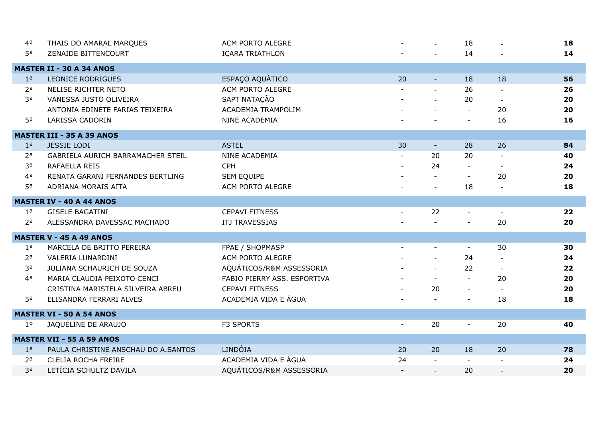| 4a             | THAIS DO AMARAL MARQUES             | ACM PORTO ALEGRE            | $\blacksquare$ | $\mathbb{Z}^2$ | 18             |                          | 18 |
|----------------|-------------------------------------|-----------------------------|----------------|----------------|----------------|--------------------------|----|
| 5a             | ZENAIDE BITTENCOURT                 | IÇARA TRIATHLON             |                |                | 14             |                          | 14 |
|                | <b>MASTER II - 30 A 34 ANOS</b>     |                             |                |                |                |                          |    |
| 1 <sup>a</sup> | LEONICE RODRIGUES                   | ESPAÇO AQUÁTICO             | 20             | $\blacksquare$ | 18             | 18                       | 56 |
| 2 <sup>a</sup> | NELISE RICHTER NETO                 | ACM PORTO ALEGRE            |                | $\overline{a}$ | 26             |                          | 26 |
| 3a             | VANESSA JUSTO OLIVEIRA              | SAPT NATAÇÃO                |                | $\mathbf{r}$   | 20             | $\blacksquare$           | 20 |
|                | ANTONIA EDINETE FARIAS TEIXEIRA     | ACADEMIA TRAMPOLIM          |                |                |                | 20                       | 20 |
| 5 <sup>a</sup> | <b>LARISSA CADORIN</b>              | NINE ACADEMIA               |                |                | $\sim$         | 16                       | 16 |
|                | <b>MASTER III - 35 A 39 ANOS</b>    |                             |                |                |                |                          |    |
| 1 <sup>a</sup> | <b>JESSIE LODI</b>                  | <b>ASTEL</b>                | 30             | $\blacksquare$ | 28             | 26                       | 84 |
| 2 <sub>a</sub> | GABRIELA AURICH BARRAMACHER STEIL   | NINE ACADEMIA               |                | 20             | 20             |                          | 40 |
| 3a             | RAFAELLA REIS                       | <b>CPH</b>                  |                | 24             |                |                          | 24 |
| 4 <sup>a</sup> | RENATA GARANI FERNANDES BERTLING    | SEM EQUIPE                  |                | $\sim$         | $\blacksquare$ | 20                       | 20 |
| 5 <sup>a</sup> | ADRIANA MORAIS AITA                 | ACM PORTO ALEGRE            |                |                | 18             |                          | 18 |
|                | <b>MASTER IV - 40 A 44 ANOS</b>     |                             |                |                |                |                          |    |
| 1 <sup>a</sup> | <b>GISELE BAGATINI</b>              | <b>CEPAVI FITNESS</b>       |                | 22             |                |                          | 22 |
| 2 <sup>a</sup> | ALESSANDRA DAVESSAC MACHADO         | <b>ITJ TRAVESSIAS</b>       |                |                |                | 20                       | 20 |
|                | <b>MASTER V - 45 A 49 ANOS</b>      |                             |                |                |                |                          |    |
| 1 <sup>a</sup> | MARCELA DE BRITTO PEREIRA           | FPAE / SHOPMASP             |                | $\blacksquare$ | $\blacksquare$ | 30                       | 30 |
| 2 <sub>a</sub> | VALERIA LUNARDINI                   | ACM PORTO ALEGRE            |                |                | 24             |                          | 24 |
| 3a             | JULIANA SCHAURICH DE SOUZA          | AQUÁTICOS/R&M ASSESSORIA    |                |                | 22             | $\sim$                   | 22 |
| 4 <sup>a</sup> | MARIA CLAUDIA PEIXOTO CENCI         | FABIO PIERRY ASS. ESPORTIVA |                |                | $\sim$         | 20                       | 20 |
|                | CRISTINA MARISTELA SILVEIRA ABREU   | <b>CEPAVI FITNESS</b>       |                | 20             | $\sim$         | $\mathbf{r}$             | 20 |
| 5 <sup>a</sup> | ELISANDRA FERRARI ALVES             | ACADEMIA VIDA E ÁGUA        |                |                |                | 18                       | 18 |
|                | <b>MASTER VI - 50 A 54 ANOS</b>     |                             |                |                |                |                          |    |
| 1 <sup>o</sup> | JAQUELINE DE ARAUJO                 | F3 SPORTS                   | $\blacksquare$ | 20             | $\blacksquare$ | 20                       | 40 |
|                | <b>MASTER VII - 55 A 59 ANOS</b>    |                             |                |                |                |                          |    |
| 1 <sup>a</sup> | PAULA CHRISTINE ANSCHAU DO A.SANTOS | LINDÓIA                     | 20             | 20             | 18             | 20                       | 78 |
| 2 <sub>a</sub> | CLELIA ROCHA FREIRE                 | ACADEMIA VIDA E ÁGUA        | 24             | $\mathbf{r}$   |                | $\overline{\phantom{a}}$ | 24 |
| 3a             | LETÍCIA SCHULTZ DAVILA              | AQUÁTICOS/R&M ASSESSORIA    |                |                | 20             |                          | 20 |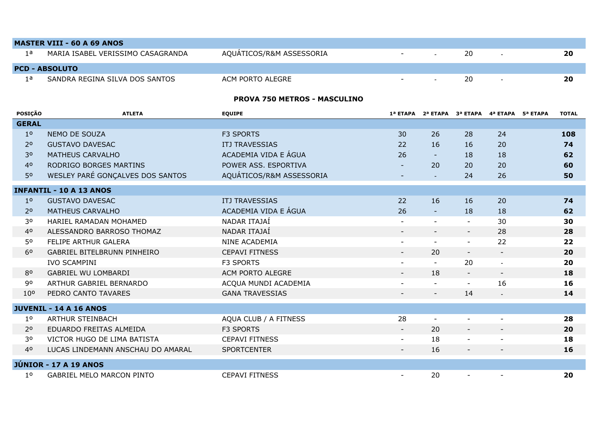|                       | <b>MASTER VIII - 60 A 69 ANOS</b> |                          |        |        |    |  |    |  |  |  |  |
|-----------------------|-----------------------------------|--------------------------|--------|--------|----|--|----|--|--|--|--|
| 1 a                   | MARIA ISABEL VERISSIMO CASAGRANDA | AQUATICOS/R&M ASSESSORIA | $\sim$ | $\sim$ | 20 |  | 20 |  |  |  |  |
| <b>PCD - ABSOLUTO</b> |                                   |                          |        |        |    |  |    |  |  |  |  |
| 1 а                   | SANDRA REGINA SILVA DOS SANTOS    | ACM PORTO ALEGRE         | $-$    | $\sim$ | 20 |  | 20 |  |  |  |  |

### **PROVA 750 METROS - MASCULINO**

| <b>POSIÇÃO</b>  | <b>ATLETA</b>                      | <b>EQUIPE</b>            |                          |                          | 1ª ETAPA 2ª ETAPA 3ª ETAPA 4ª ETAPA 5ª ETAPA |                          | <b>TOTAL</b> |
|-----------------|------------------------------------|--------------------------|--------------------------|--------------------------|----------------------------------------------|--------------------------|--------------|
| <b>GERAL</b>    |                                    |                          |                          |                          |                                              |                          |              |
| 1 <sup>o</sup>  | NEMO DE SOUZA                      | <b>F3 SPORTS</b>         | 30                       | 26                       | 28                                           | 24                       | 108          |
| 2 <sup>o</sup>  | <b>GUSTAVO DAVESAC</b>             | <b>ITJ TRAVESSIAS</b>    | 22                       | 16                       | 16                                           | 20                       | 74           |
| 3 <sup>o</sup>  | <b>MATHEUS CARVALHO</b>            | ACADEMIA VIDA E ÁGUA     | 26                       | $\sim$                   | 18                                           | 18                       | 62           |
| 4 <sup>0</sup>  | RODRIGO BORGES MARTINS             | POWER ASS. ESPORTIVA     |                          | 20                       | 20                                           | 20                       | 60           |
| 50              | WESLEY PARÉ GONÇALVES DOS SANTOS   | AQUÁTICOS/R&M ASSESSORIA | $\overline{\phantom{a}}$ | $\omega$                 | 24                                           | 26                       | 50           |
|                 | <b>INFANTIL - 10 A 13 ANOS</b>     |                          |                          |                          |                                              |                          |              |
| 1 <sup>0</sup>  | <b>GUSTAVO DAVESAC</b>             | <b>ITJ TRAVESSIAS</b>    | 22                       | 16                       | 16                                           | 20                       | 74           |
| 2 <sup>o</sup>  | <b>MATHEUS CARVALHO</b>            | ACADEMIA VIDA E ÁGUA     | 26                       | $\blacksquare$           | 18                                           | 18                       | 62           |
| 30              | HARIEL RAMADAN MOHAMED             | NADAR ITAJAÍ             |                          | $\sim$                   | $\overline{\phantom{a}}$                     | 30                       | 30           |
| 4 <sup>0</sup>  | ALESSANDRO BARROSO THOMAZ          | NADAR ITAJAÍ             |                          |                          | $\overline{\phantom{a}}$                     | 28                       | 28           |
| 50              | FELIPE ARTHUR GALERA               | NINE ACADEMIA            |                          | $\sim$                   | $\blacksquare$                               | 22                       | 22           |
| 6 <sup>o</sup>  | <b>GABRIEL BITELBRUNN PINHEIRO</b> | <b>CEPAVI FITNESS</b>    |                          | 20                       | $\blacksquare$                               | $\sim$                   | 20           |
|                 | <b>IVO SCAMPINI</b>                | <b>F3 SPORTS</b>         | $\overline{\phantom{a}}$ | $\sim$                   | 20                                           | $\sim$                   | 20           |
| 80              | <b>GABRIEL WU LOMBARDI</b>         | ACM PORTO ALEGRE         | $\blacksquare$           | 18                       | $\blacksquare$                               | $\blacksquare$           | 18           |
| 90              | ARTHUR GABRIEL BERNARDO            | ACQUA MUNDI ACADEMIA     |                          | $\blacksquare$           | $\sim$                                       | 16                       | 16           |
| 10 <sup>o</sup> | PEDRO CANTO TAVARES                | <b>GANA TRAVESSIAS</b>   | $\overline{\phantom{a}}$ | $\overline{\phantom{a}}$ | 14                                           | $\blacksquare$           | 14           |
|                 | <b>JUVENIL - 14 A 16 ANOS</b>      |                          |                          |                          |                                              |                          |              |
| 1 <sup>o</sup>  | <b>ARTHUR STEINBACH</b>            | AQUA CLUB / A FITNESS    | 28                       | $\sim$                   |                                              |                          | 28           |
| 2 <sup>o</sup>  | EDUARDO FREITAS ALMEIDA            | <b>F3 SPORTS</b>         |                          | 20                       | $\overline{\phantom{a}}$                     |                          | 20           |
| 30              | VICTOR HUGO DE LIMA BATISTA        | <b>CEPAVI FITNESS</b>    |                          | 18                       | $\overline{\phantom{a}}$                     |                          | 18           |
| 4 <sup>0</sup>  | LUCAS LINDEMANN ANSCHAU DO AMARAL  | <b>SPORTCENTER</b>       |                          | 16                       | $\overline{\phantom{a}}$                     | $\overline{\phantom{a}}$ | 16           |
|                 |                                    |                          |                          |                          |                                              |                          |              |
|                 | <b>JÚNIOR - 17 A 19 ANOS</b>       |                          |                          |                          |                                              |                          |              |
| 1 <sup>o</sup>  | <b>GABRIEL MELO MARCON PINTO</b>   | <b>CEPAVI FITNESS</b>    | $\overline{\phantom{a}}$ | 20                       |                                              |                          | 20           |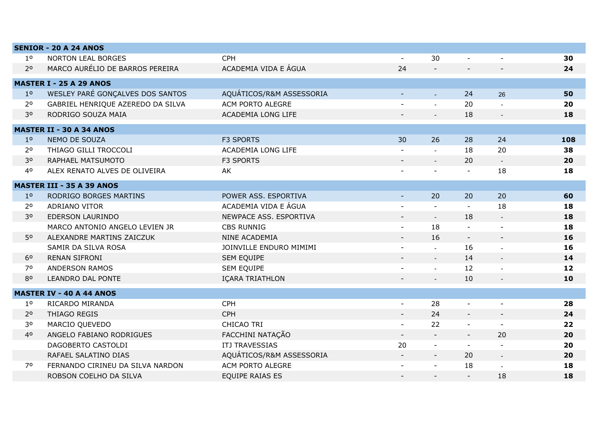|                | <b>SENIOR - 20 A 24 ANOS</b>      |                          |                          |                |                |                             |     |
|----------------|-----------------------------------|--------------------------|--------------------------|----------------|----------------|-----------------------------|-----|
| $1^{\circ}$    | <b>NORTON LEAL BORGES</b>         | <b>CPH</b>               | $\blacksquare$           | 30             | $\blacksquare$ | $\blacksquare$              | 30  |
| 2 <sup>o</sup> | MARCO AURÉLIO DE BARROS PEREIRA   | ACADEMIA VIDA E ÁGUA     | 24                       | $\blacksquare$ |                |                             | 24  |
|                | <b>MASTER I - 25 A 29 ANOS</b>    |                          |                          |                |                |                             |     |
| 1 <sup>0</sup> | WESLEY PARÉ GONÇALVES DOS SANTOS  | AQUÁTICOS/R&M ASSESSORIA | $\sim$                   | $\omega$       | 24             | 26                          | 50  |
| 2 <sup>o</sup> | GABRIEL HENRIQUE AZEREDO DA SILVA | ACM PORTO ALEGRE         |                          | $\blacksquare$ | 20             |                             | 20  |
| 30             | RODRIGO SOUZA MAIA                | ACADEMIA LONG LIFE       |                          |                | 18             |                             | 18  |
|                | <b>MASTER II - 30 A 34 ANOS</b>   |                          |                          |                |                |                             |     |
| 1 <sup>o</sup> | NEMO DE SOUZA                     | <b>F3 SPORTS</b>         | 30                       | 26             | 28             | 24                          | 108 |
| 2 <sup>o</sup> | THIAGO GILLI TROCCOLI             | ACADEMIA LONG LIFE       |                          |                | 18             | 20                          | 38  |
| 3 <sup>o</sup> | RAPHAEL MATSUMOTO                 | <b>F3 SPORTS</b>         |                          | $\equiv$       | 20             | $\blacksquare$              | 20  |
| 4 <sup>0</sup> | ALEX RENATO ALVES DE OLIVEIRA     | AK                       |                          | $\overline{a}$ | $\blacksquare$ | 18                          | 18  |
|                | <b>MASTER III - 35 A 39 ANOS</b>  |                          |                          |                |                |                             |     |
| 1 <sup>o</sup> | RODRIGO BORGES MARTINS            | POWER ASS. ESPORTIVA     | $\blacksquare$           | 20             | 20             | 20                          | 60  |
| 2 <sup>o</sup> | ADRIANO VITOR                     | ACADEMIA VIDA E ÁGUA     |                          | $\blacksquare$ | $\blacksquare$ | 18                          | 18  |
| 30             | EDERSON LAURINDO                  | NEWPACE ASS. ESPORTIVA   |                          | $\equiv$       | 18             | $\overline{\phantom{a}}$    | 18  |
|                | MARCO ANTONIO ANGELO LEVIEN JR    | <b>CBS RUNNIG</b>        |                          | 18             |                |                             | 18  |
| 50             | ALEXANDRE MARTINS ZAICZUK         | <b>NINE ACADEMIA</b>     |                          | 16             |                | $\blacksquare$              | 16  |
|                | SAMIR DA SILVA ROSA               | JOINVILLE ENDURO MIMIMI  |                          | $\mathbf{r}$   | 16             |                             | 16  |
| 6 <sup>o</sup> | <b>RENAN SIFRONI</b>              | SEM EQUIPE               |                          | $\mathbb{Z}^2$ | 14             | $\mathcal{L}^{\mathcal{A}}$ | 14  |
| 70             | <b>ANDERSON RAMOS</b>             | SEM EQUIPE               |                          | $\overline{a}$ | 12             |                             | 12  |
| 80             | LEANDRO DAL PONTE                 | IÇARA TRIATHLON          |                          | $\blacksquare$ | 10             | $\blacksquare$              | 10  |
|                | <b>MASTER IV - 40 A 44 ANOS</b>   |                          |                          |                |                |                             |     |
| 1 <sup>o</sup> | RICARDO MIRANDA                   | <b>CPH</b>               | $\blacksquare$           | 28             |                |                             | 28  |
| 2 <sup>o</sup> | THIAGO REGIS                      | <b>CPH</b>               | $\overline{\phantom{a}}$ | 24             |                |                             | 24  |
| 30             | MARCIO QUEVEDO                    | CHICAO TRI               | $\blacksquare$           | 22             | $\blacksquare$ | $\sim$                      | 22  |
| 40             | ANGELO FABIANO RODRIGUES          | FACCHINI NATAÇÃO         | $\sim$                   | $\sim$         | $\blacksquare$ | 20                          | 20  |
|                | DAGOBERTO CASTOLDI                | <b>ITJ TRAVESSIAS</b>    | 20                       | $\blacksquare$ | $\blacksquare$ |                             | 20  |
|                | RAFAEL SALATINO DIAS              | AQUÁTICOS/R&M ASSESSORIA | $\sim$                   | $\blacksquare$ | 20             | $\omega_{\rm c}$            | 20  |
| 70             | FERNANDO CIRINEU DA SILVA NARDON  | ACM PORTO ALEGRE         |                          | $\blacksquare$ | 18             |                             | 18  |
|                | ROBSON COELHO DA SILVA            | <b>EQUIPE RAIAS ES</b>   |                          |                |                | 18                          | 18  |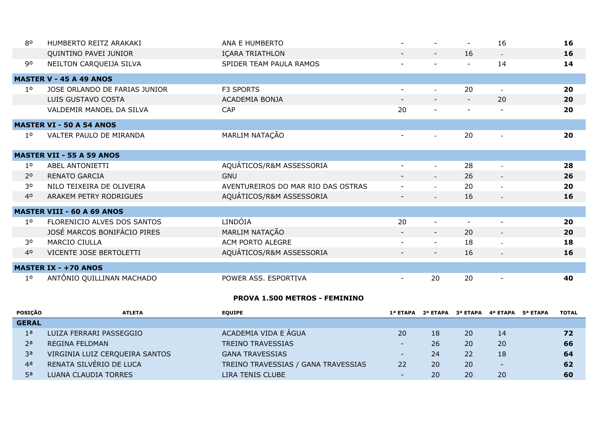| 80             | HUMBERTO REITZ ARAKAKI            | ANA E HUMBERTO                     |                |                          | $\overline{\phantom{a}}$ | 16                       | 16 |
|----------------|-----------------------------------|------------------------------------|----------------|--------------------------|--------------------------|--------------------------|----|
|                | QUINTINO PAVEI JUNIOR             | IÇARA TRIATHLON                    |                | $\overline{\phantom{a}}$ | 16                       | $\overline{\phantom{a}}$ | 16 |
| 90             | NEILTON CARQUEIJA SILVA           | SPIDER TEAM PAULA RAMOS            |                |                          | $\overline{a}$           | 14                       | 14 |
|                | <b>MASTER V - 45 A 49 ANOS</b>    |                                    |                |                          |                          |                          |    |
| 10             | JOSE ORLANDO DE FARIAS JUNIOR     | F3 SPORTS                          | $\sim$         |                          | 20                       |                          | 20 |
|                | LUIS GUSTAVO COSTA                | ACADEMIA BONJA                     |                | $\overline{\phantom{a}}$ | $\overline{\phantom{a}}$ | 20                       | 20 |
|                | VALDEMIR MANOEL DA SILVA          | CAP                                | 20             | $\blacksquare$           |                          |                          | 20 |
|                | <b>MASTER VI - 50 A 54 ANOS</b>   |                                    |                |                          |                          |                          |    |
| $1^{\circ}$    | VALTER PAULO DE MIRANDA           | MARLIM NATAÇÃO                     | $\sim$         |                          | 20                       | $\mathbf{r}$             | 20 |
|                | <b>MASTER VII - 55 A 59 ANOS</b>  |                                    |                |                          |                          |                          |    |
| $1^{\circ}$    | ABEL ANTONIETTI                   | AQUÁTICOS/R&M ASSESSORIA           | $\sim$         | $\blacksquare$           | 28                       | $\blacksquare$           | 28 |
| 2 <sup>o</sup> | RENATO GARCIA                     | <b>GNU</b>                         |                |                          | 26                       | $\overline{\phantom{a}}$ | 26 |
| 30             | NILO TEIXEIRA DE OLIVEIRA         | AVENTUREIROS DO MAR RIO DAS OSTRAS | $\blacksquare$ | $\equiv$                 | 20                       | $\blacksquare$           | 20 |
| 40             | ARAKEM PETRY RODRIGUES            | AQUÁTICOS/R&M ASSESSORIA           | $ \,$          | $\sim$ .                 | 16                       | $\sim$                   | 16 |
|                | <b>MASTER VIII - 60 A 69 ANOS</b> |                                    |                |                          |                          |                          |    |
| 1 <sup>0</sup> | FLORENICIO ALVES DOS SANTOS       | LINDÓIA                            | 20             | $\blacksquare$           |                          |                          | 20 |
|                | JOSÉ MARCOS BONIFÁCIO PIRES       | MARLIM NATAÇÃO                     |                | $\overline{\phantom{a}}$ | 20                       | $\blacksquare$           | 20 |
| 30             | MARCIO CIULLA                     | ACM PORTO ALEGRE                   |                | $\blacksquare$           | 18                       | $\blacksquare$           | 18 |
| 4 <sup>0</sup> | VICENTE JOSE BERTOLETTI           | AQUÁTICOS/R&M ASSESSORIA           | $\sim$         | $\sim$                   | 16                       | $\sim$                   | 16 |
|                | <b>MASTER IX - +70 ANOS</b>       |                                    |                |                          |                          |                          |    |
| 1 <sup>0</sup> | ANTÔNIO QUILLINAN MACHADO         | POWER ASS. ESPORTIVA               |                | 20                       | 20                       | $\overline{\phantom{0}}$ | 40 |

## **PROVA 1.500 METROS - FEMININO**

| <b>POSICÃO</b> | <b>ATLETA</b>                  | <b>EOUIPE</b>                       | 1ª ETAPA                 |    | 2ª ETAPA 3ª ETAPA 4ª ETAPA 5ª ETAPA |           | <b>TOTAL</b> |
|----------------|--------------------------------|-------------------------------------|--------------------------|----|-------------------------------------|-----------|--------------|
| <b>GERAL</b>   |                                |                                     |                          |    |                                     |           |              |
| 1a             | LUIZA FERRARI PASSEGGIO        | ACADEMIA VIDA E ÁGUA                | 20                       | 18 | 20                                  | 14        | 72           |
| 2a             | <b>REGINA FELDMAN</b>          | <b>TREINO TRAVESSIAS</b>            | $\overline{\phantom{0}}$ | 26 | 20                                  | 20        | 66           |
| за             | VIRGINIA LUIZ CERQUEIRA SANTOS | <b>GANA TRAVESSIAS</b>              | $\overline{\phantom{0}}$ | 24 | 22                                  | 18        | 64           |
| 4 <sup>a</sup> | RENATA SILVÉRIO DE LUCA        | TREINO TRAVESSIAS / GANA TRAVESSIAS | 22                       | 20 | 20                                  | -         | 62           |
| 5а             | LUANA CLAUDIA TORRES           | LIRA TENIS CLUBE                    | $\overline{\phantom{0}}$ | 20 | 20                                  | <b>20</b> | 60           |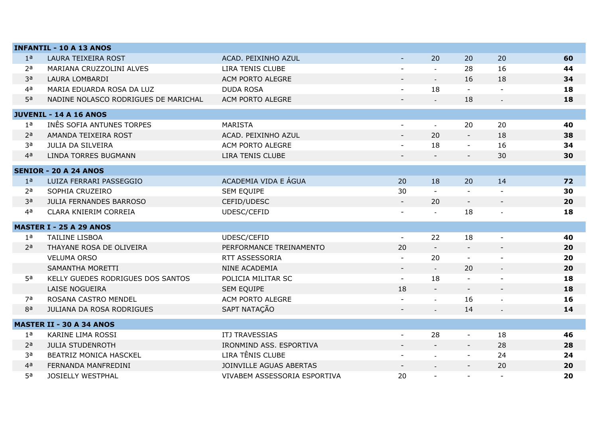|                | <b>INFANTIL - 10 A 13 ANOS</b>       |                              |                          |                          |                          |                          |    |
|----------------|--------------------------------------|------------------------------|--------------------------|--------------------------|--------------------------|--------------------------|----|
| 1 <sup>a</sup> | LAURA TEIXEIRA ROST                  | ACAD. PEIXINHO AZUL          | $\sim$                   | 20                       | 20                       | 20                       | 60 |
| 2 <sup>a</sup> | MARIANA CRUZZOLINI ALVES             | LIRA TENIS CLUBE             |                          |                          | 28                       | 16                       | 44 |
| 3a             | LAURA LOMBARDI                       | ACM PORTO ALEGRE             | $\blacksquare$           | $\blacksquare$           | 16                       | 18                       | 34 |
| 4 <sup>a</sup> | MARIA EDUARDA ROSA DA LUZ            | <b>DUDA ROSA</b>             | $\blacksquare$           | 18                       | $\sim$                   |                          | 18 |
| 5 <sup>a</sup> | NADINE NOLASCO RODRIGUES DE MARICHAL | ACM PORTO ALEGRE             |                          | $\sim$                   | 18                       |                          | 18 |
|                | <b>JUVENIL - 14 A 16 ANOS</b>        |                              |                          |                          |                          |                          |    |
| 1 <sup>a</sup> | INÊS SOFIA ANTUNES TORPES            | <b>MARISTA</b>               | $\blacksquare$           | $\sim$                   | 20                       | 20                       | 40 |
| 2 <sup>a</sup> | AMANDA TEIXEIRA ROST                 | ACAD. PEIXINHO AZUL          | $\blacksquare$           | 20                       | $\blacksquare$           | 18                       | 38 |
| 3a             | <b>JULIA DA SILVEIRA</b>             | ACM PORTO ALEGRE             |                          | 18                       | $\blacksquare$           | 16                       | 34 |
| 4 <sup>a</sup> | <b>LINDA TORRES BUGMANN</b>          | LIRA TENIS CLUBE             | $\blacksquare$           | $\blacksquare$           | $\overline{\phantom{a}}$ | 30                       | 30 |
|                | <b>SENIOR - 20 A 24 ANOS</b>         |                              |                          |                          |                          |                          |    |
| 1 <sup>a</sup> | LUIZA FERRARI PASSEGGIO              | ACADEMIA VIDA E ÁGUA         | 20                       | 18                       | 20                       | 14                       | 72 |
| 2 <sup>a</sup> | SOPHIA CRUZEIRO                      | <b>SEM EQUIPE</b>            | 30                       |                          |                          |                          | 30 |
| 3a             | <b>JULIA FERNANDES BARROSO</b>       | CEFID/UDESC                  | $\sim$                   | 20                       | $\sim$                   | $\blacksquare$           | 20 |
| 4 <sup>a</sup> | CLARA KNIERIM CORREIA                | UDESC/CEFID                  | $\blacksquare$           | $\blacksquare$           | 18                       | $\overline{\phantom{a}}$ | 18 |
|                |                                      |                              |                          |                          |                          |                          |    |
|                | <b>MASTER I - 25 A 29 ANOS</b>       |                              |                          |                          |                          |                          |    |
| 1 <sup>a</sup> | <b>TAILINE LISBOA</b>                | UDESC/CEFID                  | $\sim$                   | 22                       | 18                       | $\blacksquare$           | 40 |
| 2 <sup>a</sup> | THAYANE ROSA DE OLIVEIRA             | PERFORMANCE TREINAMENTO      | 20                       | $\blacksquare$           | $\sim$                   | $\blacksquare$           | 20 |
|                | <b>VELUMA ORSO</b>                   | RTT ASSESSORIA               |                          | 20                       |                          |                          | 20 |
|                | SAMANTHA MORETTI                     | NINE ACADEMIA                | $\blacksquare$           | $\omega$                 | 20                       | $\blacksquare$           | 20 |
| 5 <sup>a</sup> | KELLY GUEDES RODRIGUES DOS SANTOS    | POLICIA MILITAR SC           | $\sim$                   | 18                       | $\blacksquare$           |                          | 18 |
|                | LAISE NOGUEIRA                       | SEM EQUIPE                   | 18                       |                          | $\overline{\phantom{a}}$ |                          | 18 |
| 7a             | ROSANA CASTRO MENDEL                 | ACM PORTO ALEGRE             |                          | $\overline{\phantom{a}}$ | 16                       |                          | 16 |
| 8a             | JULIANA DA ROSA RODRIGUES            | SAPT NATAÇÃO                 |                          | $\blacksquare$           | 14                       | $\blacksquare$           | 14 |
|                | <b>MASTER II - 30 A 34 ANOS</b>      |                              |                          |                          |                          |                          |    |
| 1 <sup>a</sup> | <b>KARINE LIMA ROSSI</b>             | ITJ TRAVESSIAS               | $\mathbb{Z}^2$           | 28                       | $\sim$                   | 18                       | 46 |
| 2 <sup>a</sup> | <b>JULIA STUDENROTH</b>              | IRONMIND ASS. ESPORTIVA      |                          | $\sim$                   | $\blacksquare$           | 28                       | 28 |
| 3a             | BEATRIZ MONICA HASCKEL               | LIRA TÊNIS CLUBE             | $\blacksquare$           | $\sim$                   | $\blacksquare$           | 24                       | 24 |
| 4 <sup>a</sup> | FERNANDA MANFREDINI                  | JOINVILLE AGUAS ABERTAS      | $\overline{\phantom{a}}$ | $\bar{\phantom{a}}$      | $\overline{\phantom{a}}$ | 20                       | 20 |
| 5 <sup>a</sup> | <b>JOSIELLY WESTPHAL</b>             | VIVABEM ASSESSORIA ESPORTIVA | 20                       |                          | $\sim$                   |                          | 20 |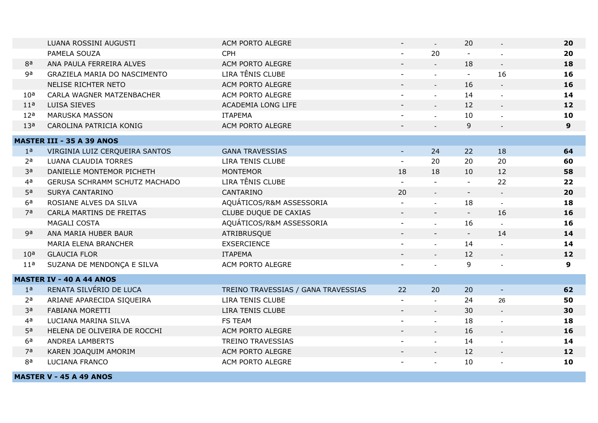|                 | LUANA ROSSINI AUGUSTI            | ACM PORTO ALEGRE                    |                          | $\mathbb{Z}^+$              | 20             |                          | 20             |
|-----------------|----------------------------------|-------------------------------------|--------------------------|-----------------------------|----------------|--------------------------|----------------|
|                 | PAMELA SOUZA                     | <b>CPH</b>                          | $\blacksquare$           | 20                          |                |                          | 20             |
| 8a              | ANA PAULA FERREIRA ALVES         | ACM PORTO ALEGRE                    |                          | $\mathcal{L}^{\mathcal{A}}$ | 18             | $\blacksquare$           | 18             |
| ga              | GRAZIELA MARIA DO NASCIMENTO     | LIRA TÊNIS CLUBE                    |                          |                             |                | 16                       | 16             |
|                 | NELISE RICHTER NETO              | ACM PORTO ALEGRE                    |                          | $\overline{a}$              | 16             | $\overline{\phantom{a}}$ | 16             |
| 10 <sup>a</sup> | CARLA WAGNER MATZENBACHER        | ACM PORTO ALEGRE                    | $\overline{\phantom{a}}$ | $\overline{a}$              | 14             | $\equiv$                 | 14             |
| 11 <sup>a</sup> | LUISA SIEVES                     | ACADEMIA LONG LIFE                  |                          |                             | 12             | $\blacksquare$           | 12             |
| 12 <sup>a</sup> | <b>MARUSKA MASSON</b>            | <b>ITAPEMA</b>                      |                          | $\overline{a}$              | 10             | $\blacksquare$           | 10             |
| 13 <sup>a</sup> | CAROLINA PATRICIA KONIG          | ACM PORTO ALEGRE                    |                          |                             | 9              |                          | 9 <sup>°</sup> |
|                 | <b>MASTER III - 35 A 39 ANOS</b> |                                     |                          |                             |                |                          |                |
| 1 <sup>a</sup>  | VIRGINIA LUIZ CERQUEIRA SANTOS   | <b>GANA TRAVESSIAS</b>              | $\blacksquare$           | 24                          | 22             | 18                       | 64             |
| 2 <sup>a</sup>  | LUANA CLAUDIA TORRES             | LIRA TENIS CLUBE                    | $\mathbf{u}$             | 20                          | 20             | 20                       | 60             |
| 3 <sup>a</sup>  | DANIELLE MONTEMOR PICHETH        | <b>MONTEMOR</b>                     | 18                       | 18                          | 10             | 12                       | 58             |
| 4 <sup>a</sup>  | GERUSA SCHRAMM SCHUTZ MACHADO    | LIRA TÊNIS CLUBE                    | $\mathbf{u}$             |                             | $\sim$         | 22                       | 22             |
| 5 <sup>a</sup>  | SURYA CANTARINO                  | CANTARINO                           | 20                       | $\mathbb{L}$                | $\blacksquare$ | $\mathbb{L}$             | 20             |
| 6 <sup>a</sup>  | ROSIANE ALVES DA SILVA           | AQUÁTICOS/R&M ASSESSORIA            |                          |                             | 18             | $\mathbf{r}$             | 18             |
| 7 <sup>a</sup>  | CARLA MARTINS DE FREITAS         | CLUBE DUQUE DE CAXIAS               |                          |                             | $\sim$         | 16                       | 16             |
|                 | MAGALI COSTA                     | AQUÁTICOS/R&M ASSESSORIA            | $\overline{\phantom{a}}$ | $\overline{a}$              | 16             | $\sim$                   | 16             |
| 9a              | ANA MARIA HUBER BAUR             | ATRIBRUSQUE                         |                          | $\overline{\phantom{a}}$    | $\sim$         | 14                       | 14             |
|                 | MARIA ELENA BRANCHER             | <b>EXSERCIENCE</b>                  |                          | $\overline{a}$              | 14             |                          | 14             |
| 10 <sup>a</sup> | <b>GLAUCIA FLOR</b>              | <b>ITAPEMA</b>                      |                          | $\overline{a}$              | 12             | $\overline{\phantom{a}}$ | 12             |
| 11 <sup>a</sup> | SUZANA DE MENDONÇA E SILVA       | ACM PORTO ALEGRE                    |                          |                             | 9              |                          | 9              |
|                 | <b>MASTER IV - 40 A 44 ANOS</b>  |                                     |                          |                             |                |                          |                |
| 1 <sup>a</sup>  | RENATA SILVÉRIO DE LUCA          | TREINO TRAVESSIAS / GANA TRAVESSIAS | 22                       | 20                          | 20             | $\blacksquare$           | 62             |
| 2 <sup>a</sup>  | ARIANE APARECIDA SIQUEIRA        | LIRA TENIS CLUBE                    | $\mathbf{v}$             |                             | 24             | 26                       | 50             |
| 3 <sup>a</sup>  | <b>FABIANA MORETTI</b>           | LIRA TENIS CLUBE                    | $\blacksquare$           | $\mathbb{L}^{\mathbb{N}}$   | 30             | $\omega$                 | 30             |
| 4 <sup>a</sup>  | LUCIANA MARINA SILVA             | <b>FS TEAM</b>                      |                          | $\overline{a}$              | 18             | $\blacksquare$           | 18             |
| 5 <sup>a</sup>  | HELENA DE OLIVEIRA DE ROCCHI     | ACM PORTO ALEGRE                    |                          | $\mathbf{r}$                | 16             | $\blacksquare$           | 16             |
| 6 <sup>a</sup>  | ANDREA LAMBERTS                  | <b>TREINO TRAVESSIAS</b>            | $\blacksquare$           | $\overline{a}$              | 14             | $\blacksquare$           | 14             |
| 7 <sup>a</sup>  | KAREN JOAQUIM AMORIM             | ACM PORTO ALEGRE                    |                          | $\frac{1}{2}$               | 12             | $\overline{\phantom{a}}$ | 12             |
| 8a              | LUCIANA FRANCO                   | ACM PORTO ALEGRE                    |                          | $\overline{a}$              | 10             | $\blacksquare$           | 10             |
|                 | <b>MASTER V - 45 A 49 ANOS</b>   |                                     |                          |                             |                |                          |                |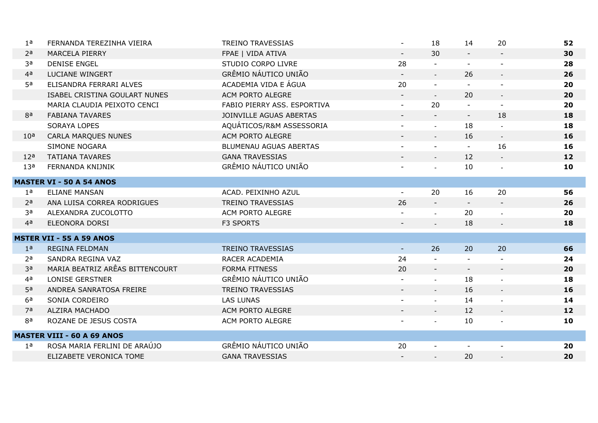| 1 <sup>a</sup>  | FERNANDA TEREZINHA VIEIRA         | <b>TREINO TRAVESSIAS</b>      |                | 18                       | 14                       | 20                          | 52 |
|-----------------|-----------------------------------|-------------------------------|----------------|--------------------------|--------------------------|-----------------------------|----|
| 2 <sup>a</sup>  | <b>MARCELA PIERRY</b>             | FPAE   VIDA ATIVA             | $\sim$         | 30                       |                          | $\sim$                      | 30 |
| 3a              | <b>DENISE ENGEL</b>               | STUDIO CORPO LIVRE            | 28             |                          |                          |                             | 28 |
| 4 <sup>a</sup>  | <b>LUCIANE WINGERT</b>            | GRÊMIO NÁUTICO UNIÃO          | $\blacksquare$ | $\mathbb{Z}^2$           | 26                       | $\overline{\phantom{a}}$    | 26 |
| 5 <sup>a</sup>  | ELISANDRA FERRARI ALVES           | ACADEMIA VIDA E ÁGUA          | 20             | $\blacksquare$           |                          |                             | 20 |
|                 | ISABEL CRISTINA GOULART NUNES     | ACM PORTO ALEGRE              |                | $\omega$                 | 20                       | $\overline{\phantom{a}}$    | 20 |
|                 | MARIA CLAUDIA PEIXOTO CENCI       | FABIO PIERRY ASS. ESPORTIVA   | $\blacksquare$ | 20                       |                          | $\sim$                      | 20 |
| ga              | <b>FABIANA TAVARES</b>            | JOINVILLE AGUAS ABERTAS       |                |                          | $\overline{\phantom{a}}$ | 18                          | 18 |
|                 | <b>SORAYA LOPES</b>               | AQUÁTICOS/R&M ASSESSORIA      | $\blacksquare$ | $\omega$                 | 18                       | $\sim$                      | 18 |
| 10 <sup>a</sup> | <b>CARLA MARQUES NUNES</b>        | ACM PORTO ALEGRE              |                | $\equiv$                 | 16                       | $\mathcal{L}_{\mathcal{A}}$ | 16 |
|                 | <b>SIMONE NOGARA</b>              | <b>BLUMENAU AGUAS ABERTAS</b> |                |                          | $\blacksquare$           | 16                          | 16 |
| 12 <sup>a</sup> | <b>TATIANA TAVARES</b>            | <b>GANA TRAVESSIAS</b>        | $\blacksquare$ | $\mathbb{Z}^2$           | 12                       | $\blacksquare$              | 12 |
| 13 <sup>a</sup> | FERNANDA KNIJNIK                  | GRÊMIO NÁUTICO UNIÃO          |                | $\sim$                   | 10                       | $\blacksquare$              | 10 |
|                 | <b>MASTER VI - 50 A 54 ANOS</b>   |                               |                |                          |                          |                             |    |
| 1 <sup>a</sup>  | <b>ELIANE MANSAN</b>              | ACAD. PEIXINHO AZUL           | $\blacksquare$ | 20                       | 16                       | 20                          | 56 |
| 2 <sup>a</sup>  | ANA LUISA CORREA RODRIGUES        | <b>TREINO TRAVESSIAS</b>      | 26             |                          |                          | $\blacksquare$              | 26 |
| за              | ALEXANDRA ZUCOLOTTO               | ACM PORTO ALEGRE              |                | $\mathbb{Z}^2$           | 20                       | $\blacksquare$              | 20 |
| 4 <sup>a</sup>  | ELEONORA DORSI                    | F3 SPORTS                     |                |                          | 18                       |                             | 18 |
|                 |                                   |                               |                |                          |                          |                             |    |
|                 | <b>MSTER VII - 55 A 59 ANOS</b>   |                               |                |                          |                          |                             |    |
| 1 <sup>a</sup>  | <b>REGINA FELDMAN</b>             | <b>TREINO TRAVESSIAS</b>      | $\blacksquare$ | 26                       | 20                       | 20                          | 66 |
| 2 <sup>a</sup>  | SANDRA REGINA VAZ                 | RACER ACADEMIA                | 24             |                          |                          |                             | 24 |
| 3 <sup>a</sup>  | MARIA BEATRIZ ARÊAS BITTENCOURT   | <b>FORMA FITNESS</b>          | 20             | $\blacksquare$           | $\blacksquare$           | $\blacksquare$              | 20 |
| 4 <sup>a</sup>  | <b>LONISE GERSTNER</b>            | GRÊMIO NÁUTICO UNIÃO          |                | $\sim$                   | 18                       | $\sim$                      | 18 |
| 5 <sup>a</sup>  | ANDREA SANRATOSA FREIRE           | <b>TREINO TRAVESSIAS</b>      | $\blacksquare$ | $\overline{\phantom{a}}$ | 16                       | $\blacksquare$              | 16 |
| 6 <sup>a</sup>  | SONIA CORDEIRO                    | <b>LAS LUNAS</b>              |                | $\sim$                   | 14                       | $\sim$                      | 14 |
| 7 <sup>a</sup>  | ALZIRA MACHADO                    | ACM PORTO ALEGRE              | $\blacksquare$ | $\omega$                 | 12                       | ◆                           | 12 |
| 8a              | ROZANE DE JESUS COSTA             | ACM PORTO ALEGRE              |                | $\blacksquare$           | 10                       | $\blacksquare$              | 10 |
|                 | <b>MASTER VIII - 60 A 69 ANOS</b> |                               |                |                          |                          |                             |    |
| 1a              | ROSA MARIA FERLINI DE ARAÚJO      | GRÊMIO NÁUTICO UNIÃO          | 20             | $\blacksquare$           | $\sim$                   | $\blacksquare$              | 20 |
|                 | ELIZABETE VERONICA TOME           | <b>GANA TRAVESSIAS</b>        |                |                          | 20                       | $\overline{a}$              | 20 |
|                 |                                   |                               |                |                          |                          |                             |    |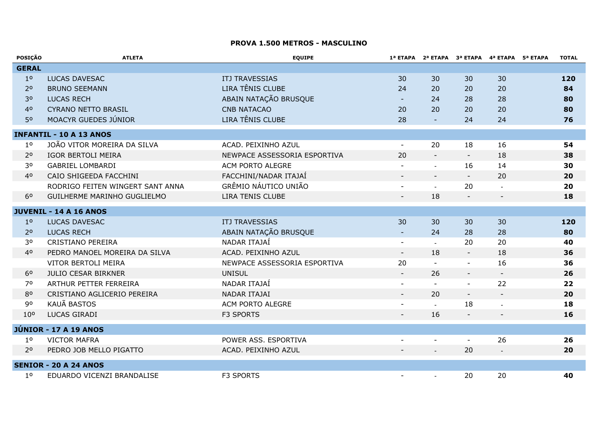#### **PROVA 1.500 METROS - MASCULINO**

| POSIÇÃO         | <b>ATLETA</b>                    | <b>EQUIPE</b>                |                          |                          | 1ª ETAPA 2ª ETAPA 3ª ETAPA 4ª ETAPA 5ª ETAPA |                          | <b>TOTAL</b> |
|-----------------|----------------------------------|------------------------------|--------------------------|--------------------------|----------------------------------------------|--------------------------|--------------|
| <b>GERAL</b>    |                                  |                              |                          |                          |                                              |                          |              |
| 1 <sup>o</sup>  | <b>LUCAS DAVESAC</b>             | <b>ITJ TRAVESSIAS</b>        | 30                       | 30                       | 30                                           | 30                       | 120          |
| 2 <sup>o</sup>  | <b>BRUNO SEEMANN</b>             | LIRA TÊNIS CLUBE             | 24                       | 20                       | 20                                           | 20                       | 84           |
| 3 <sup>o</sup>  | <b>LUCAS RECH</b>                | ABAIN NATAÇÃO BRUSQUE        |                          | 24                       | 28                                           | 28                       | 80           |
| 40              | <b>CYRANO NETTO BRASIL</b>       | <b>CNB NATACAO</b>           | 20                       | 20                       | 20                                           | 20                       | 80           |
| 50              | MOACYR GUEDES JÚNIOR             | LIRA TÊNIS CLUBE             | 28                       | $\blacksquare$           | 24                                           | 24                       | 76           |
|                 | <b>INFANTIL - 10 A 13 ANOS</b>   |                              |                          |                          |                                              |                          |              |
| 1 <sup>o</sup>  | JOÃO VITOR MOREIRA DA SILVA      | ACAD. PEIXINHO AZUL          | $\blacksquare$           | 20                       | 18                                           | 16                       | 54           |
| 2 <sup>o</sup>  | IGOR BERTOLI MEIRA               | NEWPACE ASSESSORIA ESPORTIVA | 20                       | $\overline{\phantom{a}}$ | $\equiv$                                     | 18                       | 38           |
| 30              | <b>GABRIEL LOMBARDI</b>          | ACM PORTO ALEGRE             |                          |                          | 16                                           | 14                       | 30           |
| 40              | CAIO SHIGEEDA FACCHINI           | FACCHINI/NADAR ITAJAÍ        | $\overline{\phantom{a}}$ | $\blacksquare$           | $\overline{\phantom{a}}$                     | 20                       | 20           |
|                 | RODRIGO FEITEN WINGERT SANT ANNA | GRÊMIO NÁUTICO UNIÃO         | $\blacksquare$           |                          | 20                                           | $\blacksquare$           | 20           |
| 6 <sup>o</sup>  | GUILHERME MARINHO GUGLIELMO      | LIRA TENIS CLUBE             |                          | 18                       |                                              |                          | 18           |
|                 | <b>JUVENIL - 14 A 16 ANOS</b>    |                              |                          |                          |                                              |                          |              |
| 1 <sup>o</sup>  | LUCAS DAVESAC                    | <b>ITJ TRAVESSIAS</b>        | 30                       | 30                       | 30                                           | 30                       | 120          |
| 2 <sup>0</sup>  | <b>LUCAS RECH</b>                | ABAIN NATAÇÃO BRUSQUE        |                          | 24                       | 28                                           | 28                       | 80           |
| 30              | CRISTIANO PEREIRA                | NADAR ITAJAÍ                 | $\blacksquare$           | $\mathbf{r}$             | 20                                           | 20                       | 40           |
| 40              | PEDRO MANOEL MOREIRA DA SILVA    | ACAD. PEIXINHO AZUL          | $\equiv$                 | 18                       | $\blacksquare$                               | 18                       | 36           |
|                 | VITOR BERTOLI MEIRA              | NEWPACE ASSESSORIA ESPORTIVA | 20                       | $\blacksquare$           | $\overline{a}$                               | 16                       | 36           |
| 6 <sup>o</sup>  | <b>JULIO CESAR BIRKNER</b>       | <b>UNISUL</b>                | $\blacksquare$           | 26                       | $\blacksquare$                               |                          | 26           |
| 70              | ARTHUR PETTER FERREIRA           | NADAR ITAJAÍ                 |                          |                          |                                              | $\blacksquare$<br>22     | 22           |
| 80              | CRISTIANO AGLICERIO PEREIRA      | NADAR ITAJAI                 |                          | 20                       | $\blacksquare$                               |                          |              |
| 90              | KAUÃ BASTOS                      |                              | $\blacksquare$           |                          | $\blacksquare$                               | $\overline{\phantom{a}}$ | 20           |
|                 |                                  | ACM PORTO ALEGRE             | $\blacksquare$           |                          | 18                                           |                          | 18           |
| 10 <sup>o</sup> | LUCAS GIRADI                     | F3 SPORTS                    |                          | 16                       |                                              |                          | 16           |
|                 | <b>JÚNIOR - 17 A 19 ANOS</b>     |                              |                          |                          |                                              |                          |              |
| 1 <sup>o</sup>  | <b>VICTOR MAFRA</b>              | POWER ASS. ESPORTIVA         |                          |                          | $\blacksquare$                               | 26                       | 26           |
| 2 <sup>o</sup>  | PEDRO JOB MELLO PIGATTO          | ACAD. PEIXINHO AZUL          |                          |                          | 20                                           |                          | 20           |
|                 | <b>SENIOR - 20 A 24 ANOS</b>     |                              |                          |                          |                                              |                          |              |
| 1 <sup>o</sup>  | EDUARDO VICENZI BRANDALISE       | <b>F3 SPORTS</b>             | $\blacksquare$           |                          | 20                                           | 20                       | 40           |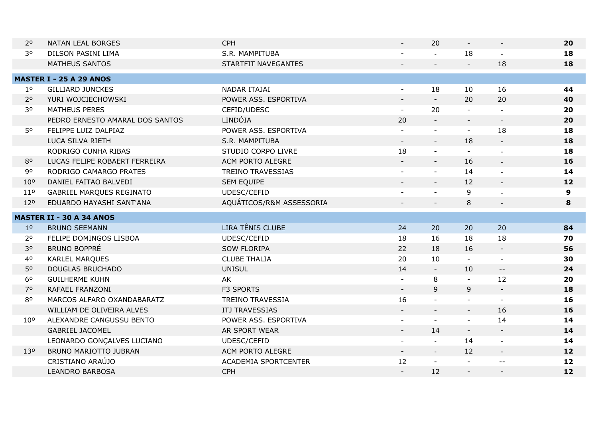| 2 <sup>o</sup><br><b>NATAN LEAL BORGES</b>         | <b>CPH</b>                  |                          | 20                       |                          | $\blacksquare$                                | 20 |
|----------------------------------------------------|-----------------------------|--------------------------|--------------------------|--------------------------|-----------------------------------------------|----|
| 30<br>DILSON PASINI LIMA                           | S.R. MAMPITUBA              |                          | $\mathbf{r}$             | 18                       |                                               | 18 |
| <b>MATHEUS SANTOS</b>                              | STARTFIT NAVEGANTES         |                          |                          | $\sim$                   | 18                                            | 18 |
| <b>MASTER I - 25 A 29 ANOS</b>                     |                             |                          |                          |                          |                                               |    |
| $1^{\circ}$<br><b>GILLIARD JUNCKES</b>             | NADAR ITAJAI                | $\blacksquare$           | 18                       | 10                       | 16                                            | 44 |
| 2 <sup>o</sup>                                     | POWER ASS. ESPORTIVA        |                          | $\blacksquare$           | 20                       | 20                                            |    |
| YURI WOJCIECHOWSKI                                 |                             |                          |                          |                          |                                               | 40 |
| 30<br><b>MATHEUS PERES</b>                         | CEFID/UDESC                 | $\blacksquare$           | 20                       |                          |                                               | 20 |
| PEDRO ERNESTO AMARAL DOS SANTOS                    | LINDÓIA                     | 20                       | $\overline{\phantom{a}}$ | $\overline{\phantom{a}}$ | $\sim$                                        | 20 |
| 50<br>FELIPPE LUIZ DALPIAZ                         | POWER ASS. ESPORTIVA        | $\blacksquare$           | $\blacksquare$           | $\blacksquare$           | 18                                            | 18 |
| LUCA SILVA RIETH                                   | S.R. MAMPITUBA              |                          | $\blacksquare$           | 18                       | $\sim$                                        | 18 |
| RODRIGO CUNHA RIBAS                                | STUDIO CORPO LIVRE          | 18                       | $\blacksquare$           |                          | $\overline{a}$                                | 18 |
| 80<br>LUCAS FELIPE ROBAERT FERREIRA                | ACM PORTO ALEGRE            | $\overline{\phantom{a}}$ | $\overline{\phantom{a}}$ | 16                       | $\blacksquare$                                | 16 |
| 90<br>RODRIGO CAMARGO PRATES                       | <b>TREINO TRAVESSIAS</b>    |                          | $\blacksquare$           | 14                       | $\blacksquare$                                | 14 |
| 10 <sup>o</sup><br>DANIEL FAITAO BALVEDI           | <b>SEM EQUIPE</b>           |                          | $\sim$                   | 12                       | $\blacksquare$                                | 12 |
| 11 <sup>0</sup><br><b>GABRIEL MARQUES REGINATO</b> | UDESC/CEFID                 | $\blacksquare$           | $\sim$                   | 9                        | $\overline{\phantom{a}}$                      | 9  |
| 120<br>EDUARDO HAYASHI SANT'ANA                    | AQUÁTICOS/R&M ASSESSORIA    |                          | $\overline{\phantom{a}}$ | 8                        | $\blacksquare$                                | 8  |
| <b>MASTER II - 30 A 34 ANOS</b>                    |                             |                          |                          |                          |                                               |    |
| <b>BRUNO SEEMANN</b><br>1 <sup>0</sup>             | LIRA TÊNIS CLUBE            | 24                       | 20                       | 20                       | 20                                            | 84 |
| 2 <sup>o</sup><br>FELIPE DOMINGOS LISBOA           | UDESC/CEFID                 | 18                       | 16                       | 18                       | 18                                            | 70 |
| 30<br><b>BRUNO BOPPRÉ</b>                          | <b>SOW FLORIPA</b>          | 22                       | 18                       | 16                       | $\blacksquare$                                | 56 |
| 4 <sup>o</sup><br><b>KARLEL MARQUES</b>            | <b>CLUBE THALIA</b>         | 20                       | 10                       |                          | $\blacksquare$                                | 30 |
| 50<br><b>DOUGLAS BRUCHADO</b>                      | <b>UNISUL</b>               | 14                       | $\blacksquare$           | 10                       | $\mathord{\hspace{1pt}\text{--}\hspace{1pt}}$ | 24 |
| 6 <sup>o</sup><br><b>GUILHERME KUHN</b>            | AK                          | $\blacksquare$           | 8                        |                          | 12                                            | 20 |
| 70<br>RAFAEL FRANZONI                              | F3 SPORTS                   | $\omega_{\rm c}$         | 9                        | 9                        | $\sim$                                        | 18 |
| 80<br>MARCOS ALFARO OXANDABARATZ                   | <b>TREINO TRAVESSIA</b>     | 16                       |                          |                          | $\blacksquare$                                | 16 |
| WILLIAM DE OLIVEIRA ALVES                          | ITJ TRAVESSIAS              | $\blacksquare$           | $\blacksquare$           | $ \,$                    | 16                                            | 16 |
| 10 <sup>o</sup><br>ALEXANDRE CANGUSSU BENTO        | POWER ASS. ESPORTIVA        | $\blacksquare$           | $\sim$                   | $\blacksquare$           | 14                                            | 14 |
| <b>GABRIEL JACOMEL</b>                             | AR SPORT WEAR               |                          | 14                       |                          | $\sim$                                        | 14 |
| LEONARDO GONÇALVES LUCIANO                         | UDESC/CEFID                 | $\blacksquare$           | $\mathbb{Z}^2$           | 14                       | $\omega$                                      | 14 |
| BRUNO MARIOTTO JUBRAN<br>13 <sup>o</sup>           | ACM PORTO ALEGRE            | $\blacksquare$           | $\omega$                 | 12                       | $\blacksquare$                                | 12 |
| CRISTIANO ARAÚJO                                   | <b>ACADEMIA SPORTCENTER</b> | 12                       | $\blacksquare$           |                          | $-$                                           | 12 |
| <b>LEANDRO BARBOSA</b>                             | <b>CPH</b>                  |                          | 12                       |                          | $\overline{\phantom{a}}$                      | 12 |
|                                                    |                             |                          |                          |                          |                                               |    |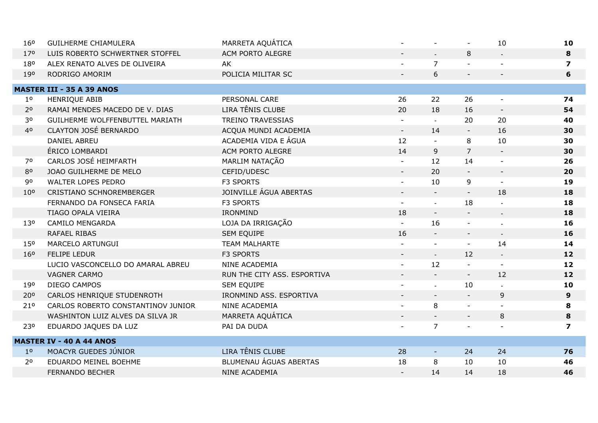| 160             | <b>GUILHERME CHIAMULERA</b>        | MARRETA AQUÁTICA            |                             | $\sim$                   |                          | 10                        | 10                      |
|-----------------|------------------------------------|-----------------------------|-----------------------------|--------------------------|--------------------------|---------------------------|-------------------------|
| 170             | LUIS ROBERTO SCHWERTNER STOFFEL    | ACM PORTO ALEGRE            |                             | $\mathbb{Z}^2$           | 8                        | $\mathbf{L}$              | 8                       |
| 180             | ALEX RENATO ALVES DE OLIVEIRA      | AK                          |                             | $\overline{7}$           |                          |                           | $\overline{\mathbf{z}}$ |
| 190             | RODRIGO AMORIM                     | POLICIA MILITAR SC          | $\blacksquare$              | 6                        |                          | $\overline{\phantom{a}}$  | 6                       |
|                 | <b>MASTER III - 35 A 39 ANOS</b>   |                             |                             |                          |                          |                           |                         |
| $1^{\circ}$     | HENRIQUE ABIB                      | PERSONAL CARE               | 26                          | 22                       | 26                       |                           | 74                      |
| 2 <sup>o</sup>  | RAMAI MENDES MACEDO DE V. DIAS     | LIRA TÊNIS CLUBE            | 20                          | 18                       | 16                       | $\overline{\phantom{a}}$  | 54                      |
| 30              | GUILHERME WOLFFENBUTTEL MARIATH    | <b>TREINO TRAVESSIAS</b>    | $\blacksquare$              | $\mathbf{r}$             | 20                       | 20                        | 40                      |
| 40              | <b>CLAYTON JOSÉ BERNARDO</b>       | ACQUA MUNDI ACADEMIA        | $\mathcal{L}_{\mathcal{A}}$ | 14                       |                          | 16                        | 30                      |
|                 | <b>DANIEL ABREU</b>                | ACADEMIA VIDA E ÁGUA        | 12                          | $\sim$                   | 8                        | 10                        | 30                      |
|                 | ÉRICO LOMBARDI                     | ACM PORTO ALEGRE            | 14                          | 9                        | $\overline{7}$           |                           | 30                      |
| 70              | CARLOS JOSÉ HEIMFARTH              | MARLIM NATAÇÃO              | $\blacksquare$              | 12                       | 14                       | $\blacksquare$            | 26                      |
| 80              | JOAO GUILHERME DE MELO             | CEFID/UDESC                 | $\blacksquare$              | 20                       |                          | $\sim$                    | 20                      |
| 90              | WALTER LOPES PEDRO                 | F3 SPORTS                   |                             | 10                       | 9                        | $\blacksquare$            | 19                      |
| 10 <sup>o</sup> | <b>CRISTIANO SCHNOREMBERGER</b>    | JOINVILLE ÁGUA ABERTAS      | $\overline{\phantom{a}}$    | $\overline{\phantom{a}}$ | $\overline{\phantom{a}}$ | 18                        | 18                      |
|                 | FERNANDO DA FONSECA FARIA          | F3 SPORTS                   | $\sim$                      | $\mathbb{Z}^2$           | 18                       |                           | 18                      |
|                 | TIAGO OPALA VIEIRA                 | <b>IRONMIND</b>             | 18                          | $\blacksquare$           |                          |                           | 18                      |
| 13 <sup>o</sup> | <b>CAMILO MENGARDA</b>             | LOJA DA IRRIGAÇÃO           |                             | 16                       |                          |                           | 16                      |
|                 | RAFAEL RIBAS                       | <b>SEM EQUIPE</b>           | 16                          | $\overline{\phantom{a}}$ | $\overline{\phantom{a}}$ | $\sim$                    | 16                      |
| 150             | MARCELO ARTUNGUI                   | <b>TEAM MALHARTE</b>        |                             |                          |                          | 14                        | 14                      |
| 160             | <b>FELIPE LEDUR</b>                | F3 SPORTS                   |                             | $\sim$                   | 12                       | $\mathbb{Z}^{\mathbb{Z}}$ | 12                      |
|                 | LUCIO VASCONCELLO DO AMARAL ABREU  | NINE ACADEMIA               | $\blacksquare$              | 12                       |                          | $\overline{\phantom{a}}$  | 12                      |
|                 | <b>VAGNER CARMO</b>                | RUN THE CITY ASS. ESPORTIVA |                             | $\sim$                   | $\blacksquare$           | 12                        | 12                      |
| 190             | DIEGO CAMPOS                       | <b>SEM EQUIPE</b>           |                             | $\overline{a}$           | 10                       | $\overline{a}$            | 10                      |
| 200             | CARLOS HENRIQUE STUDENROTH         | IRONMIND ASS. ESPORTIVA     |                             | $\sim$                   |                          | $\mathsf 9$               | 9                       |
| 210             | CARLOS ROBERTO CONSTANTINOV JUNIOR | NINE ACADEMIA               | $\blacksquare$              | 8                        | $\blacksquare$           |                           | 8                       |
|                 | WASHINTON LUIZ ALVES DA SILVA JR   | MARRETA AQUÁTICA            |                             | $\blacksquare$           | $\overline{\phantom{a}}$ | 8                         | 8                       |
| 230             | EDUARDO JAQUES DA LUZ              | PAI DA DUDA                 |                             | $\overline{7}$           |                          | $\blacksquare$            | 7                       |
|                 | <b>MASTER IV - 40 A 44 ANOS</b>    |                             |                             |                          |                          |                           |                         |
| 1 <sup>0</sup>  | MOACYR GUEDES JÚNIOR               | LIRA TÊNIS CLUBE            | 28                          | $\blacksquare$           | 24                       | 24                        | 76                      |
| 2 <sup>o</sup>  | EDUARDO MEINEL BOEHME              | BLUMENAU ÁGUAS ABERTAS      | 18                          | 8                        | 10                       | 10                        | 46                      |
|                 | <b>FERNANDO BECHER</b>             | NINE ACADEMIA               |                             | 14                       | 14                       | 18                        | 46                      |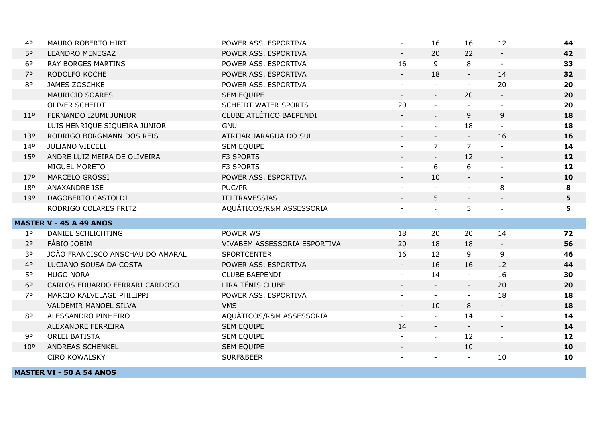| 40              | MAURO ROBERTO HIRT               | POWER ASS. ESPORTIVA         |                          | 16             | 16             | 12                        | 44 |
|-----------------|----------------------------------|------------------------------|--------------------------|----------------|----------------|---------------------------|----|
| 50              | <b>LEANDRO MENEGAZ</b>           | POWER ASS. ESPORTIVA         | $\sim$                   | 20             | 22             | $\blacksquare$            | 42 |
| 6 <sup>o</sup>  | <b>RAY BORGES MARTINS</b>        | POWER ASS. ESPORTIVA         | 16                       | 9              | 8              | $\blacksquare$            | 33 |
| 70              | RODOLFO KOCHE                    | POWER ASS. ESPORTIVA         |                          | 18             | $\sim$         | 14                        | 32 |
| 80              | JAMES ZOSCHKE                    | POWER ASS. ESPORTIVA         | $\blacksquare$           | $\sim$         | $\sim$         | 20                        | 20 |
|                 | MAURICIO SOARES                  | SEM EQUIPE                   | $\blacksquare$           | $\blacksquare$ | 20             | $\blacksquare$            | 20 |
|                 | OLIVER SCHEIDT                   | <b>SCHEIDT WATER SPORTS</b>  | 20                       | $\blacksquare$ |                |                           | 20 |
| 11 <sup>o</sup> | FERNANDO IZUMI JUNIOR            | CLUBE ATLÉTICO BAEPENDI      | $\sim$                   | $\equiv$       | 9              | 9                         | 18 |
|                 | LUIS HENRIQUE SIQUEIRA JUNIOR    | <b>GNU</b>                   |                          | $\mathbb{Z}^2$ | 18             |                           | 18 |
| 130             | RODRIGO BORGMANN DOS REIS        | ATRIJAR JARAGUA DO SUL       |                          | $\blacksquare$ | $\sim$         | 16                        | 16 |
| 140             | JULIANO VIECELI                  | SEM EQUIPE                   | $\blacksquare$           | $\overline{7}$ | $\overline{7}$ |                           | 14 |
| 15 <sup>o</sup> | ANDRE LUIZ MEIRA DE OLIVEIRA     | F3 SPORTS                    |                          |                | 12             | $\sim$                    | 12 |
|                 | MIGUEL MORETO                    | F3 SPORTS                    |                          | 6              | 6              |                           | 12 |
| 170             | MARCELO GROSSI                   | POWER ASS. ESPORTIVA         | $\overline{\phantom{a}}$ | 10             | $\blacksquare$ | $\blacksquare$            | 10 |
| 180             | ANAXANDRE ISE                    | PUC/PR                       |                          |                |                | 8                         | 8  |
| 190             | DAGOBERTO CASTOLDI               | ITJ TRAVESSIAS               |                          | 5              | $\sim$         | $\overline{\phantom{a}}$  | 5  |
|                 | RODRIGO COLARES FRITZ            | AQUÁTICOS/R&M ASSESSORIA     | Ξ.                       | $\mathbf{r}$   | 5              | $\blacksquare$            | 5  |
|                 | <b>MASTER V - 45 A 49 ANOS</b>   |                              |                          |                |                |                           |    |
| 1 <sup>o</sup>  | DANIEL SCHLICHTING               | POWER WS                     | 18                       | 20             | 20             | 14                        | 72 |
| 2 <sup>o</sup>  | FÁBIO JOBIM                      | VIVABEM ASSESSORIA ESPORTIVA | 20                       | 18             | 18             | $\blacksquare$            | 56 |
| 30              | JOÃO FRANCISCO ANSCHAU DO AMARAL | <b>SPORTCENTER</b>           | 16                       | 12             | 9              | 9                         | 46 |
| 40              | LUCIANO SOUSA DA COSTA           | POWER ASS. ESPORTIVA         |                          | 16             | 16             | 12                        | 44 |
| 50              | <b>HUGO NORA</b>                 | <b>CLUBE BAEPENDI</b>        | $\blacksquare$           | 14             | $\sim$         | 16                        | 30 |
| 6 <sup>o</sup>  | CARLOS EDUARDO FERRARI CARDOSO   | LIRA TÊNIS CLUBE             |                          |                | $ \,$          | 20                        | 20 |
| 70              | MARCIO KALVELAGE PHILIPPI        | POWER ASS. ESPORTIVA         | $\blacksquare$           | $\blacksquare$ | $\blacksquare$ | 18                        | 18 |
|                 | VALDEMIR MANOEL SILVA            | <b>VMS</b>                   | $\blacksquare$           | 10             | 8              | $\blacksquare$            | 18 |
| 80              | ALESSANDRO PINHEIRO              | AQUÁTICOS/R&M ASSESSORIA     |                          | $\overline{a}$ | 14             |                           | 14 |
|                 | ALEXANDRE FERREIRA               | SEM EQUIPE                   | 14                       | $\blacksquare$ |                | $\blacksquare$            | 14 |
| 90              | <b>ORLEI BATISTA</b>             | SEM EQUIPE                   |                          | $\omega$       | 12             | $\sim$                    | 12 |
| 10 <sup>o</sup> | ANDREAS SCHENKEL                 | SEM EQUIPE                   |                          | $\sim$         | 10             | $\mathbb{Z}^{\mathbb{Z}}$ | 10 |
|                 | <b>CIRO KOWALSKY</b>             | SURF&BEER                    |                          |                |                | 10                        | 10 |
|                 |                                  |                              |                          |                |                |                           |    |

**MASTER VI - 50 A 54 ANOS**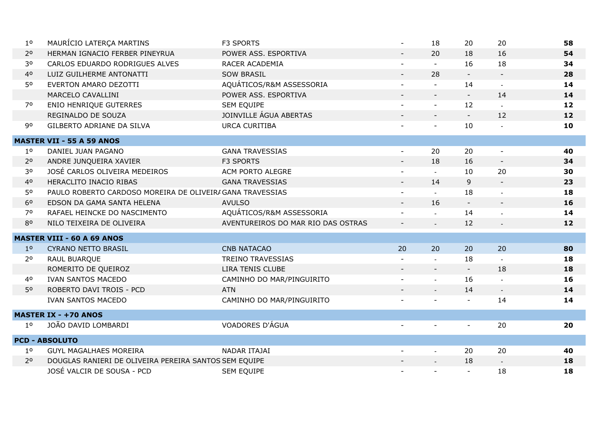| 1 <sup>o</sup> | MAURÍCIO LATERÇA MARTINS                                  | F3 SPORTS                          |                          | 18                        | 20             | 20                       | 58 |
|----------------|-----------------------------------------------------------|------------------------------------|--------------------------|---------------------------|----------------|--------------------------|----|
| 2 <sup>o</sup> | HERMAN IGNACIO FERBER PINEYRUA                            | POWER ASS. ESPORTIVA               | $\blacksquare$           | 20                        | 18             | 16                       | 54 |
| 30             | CARLOS EDUARDO RODRIGUES ALVES                            | RACER ACADEMIA                     |                          | $\mathbf{r}$              | 16             | 18                       | 34 |
| 40             | LUIZ GUILHERME ANTONATTI                                  | <b>SOW BRASIL</b>                  |                          | 28                        | $\sim$         | $\blacksquare$           | 28 |
| 50             | EVERTON AMARO DEZOTTI                                     | AQUÁTICOS/R&M ASSESSORIA           | $\blacksquare$           | $\blacksquare$            | 14             | $\omega$                 | 14 |
|                | MARCELO CAVALLINI                                         | POWER ASS. ESPORTIVA               | $\overline{\phantom{a}}$ | $\overline{\phantom{a}}$  | $\blacksquare$ | 14                       | 14 |
| 70             | <b>ENIO HENRIQUE GUTERRES</b>                             | SEM EQUIPE                         | ÷.                       | $\equiv$                  | 12             |                          | 12 |
|                | REGINALDO DE SOUZA                                        | JOINVILLE ÁGUA ABERTAS             |                          |                           | $\equiv$       | 12                       | 12 |
| 90             | GILBERTO ADRIANE DA SILVA                                 | <b>URCA CURITIBA</b>               |                          | $\blacksquare$            | 10             | $\blacksquare$           | 10 |
|                | <b>MASTER VII - 55 A 59 ANOS</b>                          |                                    |                          |                           |                |                          |    |
| 1 <sup>o</sup> | DANIEL JUAN PAGANO                                        | <b>GANA TRAVESSIAS</b>             |                          | 20                        | 20             |                          | 40 |
| 2 <sup>o</sup> | ANDRE JUNQUEIRA XAVIER                                    | <b>F3 SPORTS</b>                   | $\blacksquare$           | 18                        | 16             | $\blacksquare$           | 34 |
| 30             | JOSÉ CARLOS OLIVEIRA MEDEIROS                             | ACM PORTO ALEGRE                   | $\blacksquare$           | $\Delta$                  | 10             | 20                       | 30 |
| 40             | HERACLITO INACIO RIBAS                                    | <b>GANA TRAVESSIAS</b>             | $\blacksquare$           | 14                        | 9              | $\overline{\phantom{a}}$ | 23 |
| 50             | PAULO ROBERTO CARDOSO MOREIRA DE OLIVEIR/ GANA TRAVESSIAS |                                    |                          | $\mathbf{r}$              | 18             |                          | 18 |
| 6 <sup>o</sup> | EDSON DA GAMA SANTA HELENA                                | <b>AVULSO</b>                      | $\overline{\phantom{a}}$ | 16                        | $\blacksquare$ | $\blacksquare$           | 16 |
| 70             | RAFAEL HEINCKE DO NASCIMENTO                              | AQUÁTICOS/R&M ASSESSORIA           |                          | $\mathbb{R}^{\mathbb{Z}}$ | 14             |                          | 14 |
| 80             | NILO TEIXEIRA DE OLIVEIRA                                 | AVENTUREIROS DO MAR RIO DAS OSTRAS |                          |                           | 12             |                          | 12 |
|                | <b>MASTER VIII - 60 A 69 ANOS</b>                         |                                    |                          |                           |                |                          |    |
| 1 <sup>0</sup> | CYRANO NETTO BRASIL                                       | <b>CNB NATACAO</b>                 | 20                       | 20                        | 20             | 20                       | 80 |
| 2 <sup>o</sup> | RAUL BUARQUE                                              | <b>TREINO TRAVESSIAS</b>           |                          |                           | 18             |                          | 18 |
|                | ROMERITO DE QUEIROZ                                       | LIRA TENIS CLUBE                   |                          |                           | $\sim$         | 18                       | 18 |
| 40             | <b>IVAN SANTOS MACEDO</b>                                 | CAMINHO DO MAR/PINGUIRITO          |                          | $\mathbb{Z}^2$            | 16             | $\blacksquare$           | 16 |
| 50             | ROBERTO DAVI TROIS - PCD                                  | <b>ATN</b>                         |                          | $\omega$                  | 14             | $\overline{\phantom{a}}$ | 14 |
|                | <b>IVAN SANTOS MACEDO</b>                                 | CAMINHO DO MAR/PINGUIRITO          |                          |                           |                | 14                       | 14 |
|                | <b>MASTER IX - +70 ANOS</b>                               |                                    |                          |                           |                |                          |    |
| 1 <sup>0</sup> | JOÃO DAVID LOMBARDI                                       | VOADORES D'ÁGUA                    |                          |                           | $\blacksquare$ | 20                       | 20 |
|                | <b>PCD - ABSOLUTO</b>                                     |                                    |                          |                           |                |                          |    |
| 1 <sup>o</sup> | <b>GUYL MAGALHAES MOREIRA</b>                             | NADAR ITAJAI                       | $\blacksquare$           | $\omega$                  | 20             | 20                       | 40 |
| 2 <sup>o</sup> | DOUGLAS RANIERI DE OLIVEIRA PEREIRA SANTOS SEM EQUIPE     |                                    |                          | $\blacksquare$            | 18             | $\blacksquare$           | 18 |
|                | JOSÉ VALCIR DE SOUSA - PCD                                | <b>SEM EQUIPE</b>                  |                          |                           |                | 18                       | 18 |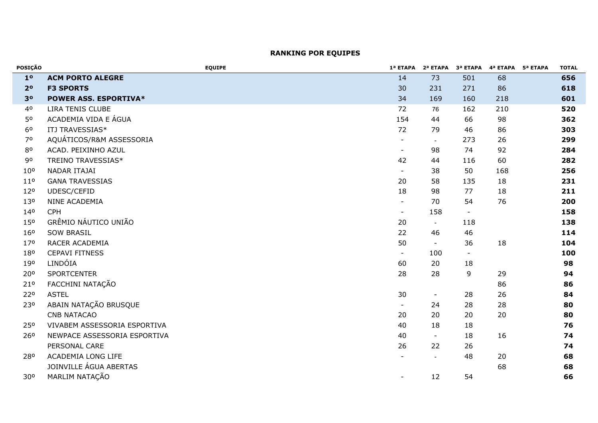| POSIÇÃO         | <b>EQUIPE</b>                | 1ª ETAPA                 |                |                | 2ª ETAPA 3ª ETAPA 4ª ETAPA | 5ª ETAPA | <b>TOTAL</b> |
|-----------------|------------------------------|--------------------------|----------------|----------------|----------------------------|----------|--------------|
| 1 <sup>o</sup>  | <b>ACM PORTO ALEGRE</b>      | 14                       | 73             | 501            | 68                         |          | 656          |
| 2 <sup>o</sup>  | <b>F3 SPORTS</b>             | 30                       | 231            | 271            | 86                         |          | 618          |
| 3 <sup>o</sup>  | <b>POWER ASS. ESPORTIVA*</b> | 34                       | 169            | 160            | 218                        |          | 601          |
| 40              | LIRA TENIS CLUBE             | 72                       | 76             | 162            | 210                        |          | 520          |
| 50              | ACADEMIA VIDA E ÁGUA         | 154                      | 44             | 66             | 98                         |          | 362          |
| 6 <sup>o</sup>  | ITJ TRAVESSIAS*              | 72                       | 79             | 46             | 86                         |          | 303          |
| 70              | AQUÁTICOS/R&M ASSESSORIA     | $\blacksquare$           | $\sim$         | 273            | 26                         |          | 299          |
| 80              | ACAD. PEIXINHO AZUL          | $\sim$                   | 98             | 74             | 92                         |          | 284          |
| 90              | TREINO TRAVESSIAS*           | 42                       | 44             | 116            | 60                         |          | 282          |
| $10^{\circ}$    | NADAR ITAJAI                 | $\sim$                   | 38             | 50             | 168                        |          | 256          |
| 11 <sup>0</sup> | <b>GANA TRAVESSIAS</b>       | 20                       | 58             | 135            | 18                         |          | 231          |
| 12°             | UDESC/CEFID                  | 18                       | 98             | 77             | 18                         |          | 211          |
| 130             | NINE ACADEMIA                | $\blacksquare$           | 70             | 54             | 76                         |          | 200          |
| 140             | <b>CPH</b>                   | $\blacksquare$           | 158            | $\blacksquare$ |                            |          | 158          |
| 150             | GRÊMIO NÁUTICO UNIÃO         | 20                       | $\blacksquare$ | 118            |                            |          | 138          |
| 160             | <b>SOW BRASIL</b>            | 22                       | 46             | 46             |                            |          | 114          |
| 17 <sup>o</sup> | RACER ACADEMIA               | 50                       | $\blacksquare$ | 36             | 18                         |          | 104          |
| 180             | <b>CEPAVI FITNESS</b>        | $\sim$                   | 100            | $\blacksquare$ |                            |          | 100          |
| 190             | LINDÓIA                      | 60                       | 20             | 18             |                            |          | 98           |
| 20°             | <b>SPORTCENTER</b>           | 28                       | 28             | 9              | 29                         |          | 94           |
| 21 <sup>o</sup> | FACCHINI NATAÇÃO             |                          |                |                | 86                         |          | 86           |
| 220             | <b>ASTEL</b>                 | 30                       | $\blacksquare$ | 28             | 26                         |          | 84           |
| 230             | ABAIN NATAÇÃO BRUSQUE        | $\blacksquare$           | 24             | 28             | 28                         |          | 80           |
|                 | <b>CNB NATACAO</b>           | 20                       | 20             | 20             | 20                         |          | 80           |
| 250             | VIVABEM ASSESSORIA ESPORTIVA | 40                       | 18             | 18             |                            |          | 76           |
| 26 <sup>o</sup> | NEWPACE ASSESSORIA ESPORTIVA | 40                       | $\blacksquare$ | 18             | 16                         |          | 74           |
|                 | PERSONAL CARE                | 26                       | 22             | 26             |                            |          | 74           |
| 280             | ACADEMIA LONG LIFE           |                          |                | 48             | 20                         |          | 68           |
|                 | JOINVILLE ÁGUA ABERTAS       |                          |                |                | 68                         |          | 68           |
| 30°             | MARLIM NATAÇÃO               | $\overline{\phantom{a}}$ | 12             | 54             |                            |          | 66           |

# **RANKING POR EQUIPES**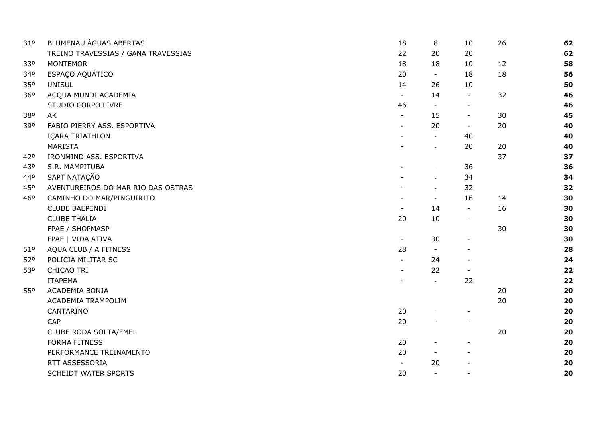| 310 | BLUMENAU ÁGUAS ABERTAS              | 18             | 8                        | 10                       | 26 | 62 |
|-----|-------------------------------------|----------------|--------------------------|--------------------------|----|----|
|     | TREINO TRAVESSIAS / GANA TRAVESSIAS | 22             | 20                       | 20                       |    | 62 |
| 330 | <b>MONTEMOR</b>                     | 18             | 18                       | 10                       | 12 | 58 |
| 340 | ESPAÇO AQUÁTICO                     | 20             | $\overline{\phantom{a}}$ | 18                       | 18 | 56 |
| 350 | <b>UNISUL</b>                       | 14             | 26                       | 10                       |    | 50 |
| 360 | ACQUA MUNDI ACADEMIA                | $\blacksquare$ | 14                       | $\blacksquare$           | 32 | 46 |
|     | STUDIO CORPO LIVRE                  | 46             |                          | $\overline{\phantom{a}}$ |    | 46 |
| 380 | AK                                  | $\blacksquare$ | 15                       | $\blacksquare$           | 30 | 45 |
| 390 | FABIO PIERRY ASS. ESPORTIVA         | $\blacksquare$ | 20                       | $\sim$                   | 20 | 40 |
|     | IÇARA TRIATHLON                     |                | $\sim$                   | 40                       |    | 40 |
|     | MARISTA                             |                |                          | 20                       | 20 | 40 |
| 420 | IRONMIND ASS. ESPORTIVA             |                |                          |                          | 37 | 37 |
| 430 | S.R. MAMPITUBA                      |                |                          | 36                       |    | 36 |
| 440 | SAPT NATAÇÃO                        |                |                          | 34                       |    | 34 |
| 450 | AVENTUREIROS DO MAR RIO DAS OSTRAS  |                |                          | 32                       |    | 32 |
| 460 | CAMINHO DO MAR/PINGUIRITO           |                | $\blacksquare$           | 16                       | 14 | 30 |
|     | <b>CLUBE BAEPENDI</b>               | $\blacksquare$ | 14                       | $\blacksquare$           | 16 | 30 |
|     | <b>CLUBE THALIA</b>                 | 20             | 10                       | $\blacksquare$           |    | 30 |
|     | FPAE / SHOPMASP                     |                |                          |                          | 30 | 30 |
|     | FPAE   VIDA ATIVA                   | $\blacksquare$ | 30                       | $\blacksquare$           |    | 30 |
| 510 | AQUA CLUB / A FITNESS               | 28             |                          |                          |    | 28 |
| 52° | POLICIA MILITAR SC                  | $\mathbf{r}$   | 24                       |                          |    | 24 |
| 530 | CHICAO TRI                          | $\blacksquare$ | 22                       |                          |    | 22 |
|     | <b>ITAPEMA</b>                      |                | $\sim$                   | 22                       |    | 22 |
| 550 | ACADEMIA BONJA                      |                |                          |                          | 20 | 20 |
|     | ACADEMIA TRAMPOLIM                  |                |                          |                          | 20 | 20 |
|     | CANTARINO                           | 20             |                          |                          |    | 20 |
|     | CAP                                 | 20             |                          |                          |    | 20 |
|     | CLUBE RODA SOLTA/FMEL               |                |                          |                          | 20 | 20 |
|     | <b>FORMA FITNESS</b>                | 20             |                          | $\overline{\phantom{a}}$ |    | 20 |
|     | PERFORMANCE TREINAMENTO             | 20             |                          |                          |    | 20 |
|     | RTT ASSESSORIA                      | $\blacksquare$ | 20                       |                          |    | 20 |
|     | <b>SCHEIDT WATER SPORTS</b>         | 20             | $\blacksquare$           | $\overline{\phantom{a}}$ |    | 20 |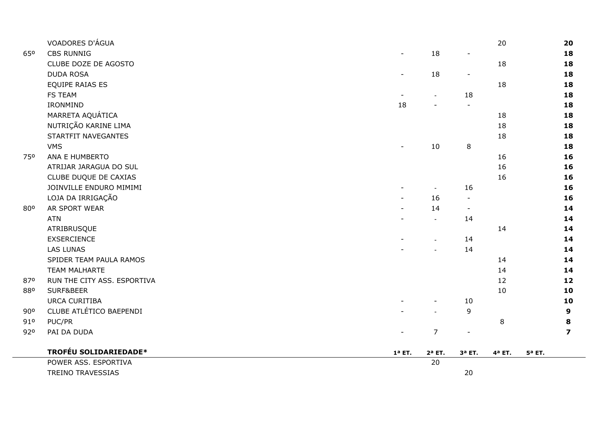|     | VOADORES D'ÁGUA             |                          |                          |                          | 20                 |                    | 20             |
|-----|-----------------------------|--------------------------|--------------------------|--------------------------|--------------------|--------------------|----------------|
| 650 | <b>CBS RUNNIG</b>           | $\overline{\phantom{a}}$ | 18                       | $\overline{\phantom{a}}$ |                    |                    | 18             |
|     | CLUBE DOZE DE AGOSTO        |                          |                          |                          | 18                 |                    | 18             |
|     | <b>DUDA ROSA</b>            | $\overline{\phantom{a}}$ | 18                       | $\overline{\phantom{a}}$ |                    |                    | 18             |
|     | EQUIPE RAIAS ES             |                          |                          |                          | 18                 |                    | 18             |
|     | <b>FS TEAM</b>              |                          | $\blacksquare$           | 18                       |                    |                    | 18             |
|     | IRONMIND                    | 18                       |                          | $\overline{a}$           |                    |                    | 18             |
|     | MARRETA AQUÁTICA            |                          |                          |                          | 18                 |                    | 18             |
|     | NUTRIÇÃO KARINE LIMA        |                          |                          |                          | 18                 |                    | 18             |
|     | STARTFIT NAVEGANTES         |                          |                          |                          | 18                 |                    | 18             |
|     | <b>VMS</b>                  |                          | 10                       | $\,8\,$                  |                    |                    | 18             |
| 750 | ANA E HUMBERTO              |                          |                          |                          | 16                 |                    | 16             |
|     | ATRIJAR JARAGUA DO SUL      |                          |                          |                          | 16                 |                    | 16             |
|     | CLUBE DUQUE DE CAXIAS       |                          |                          |                          | 16                 |                    | 16             |
|     | JOINVILLE ENDURO MIMIMI     |                          | $\sim$                   | 16                       |                    |                    | 16             |
|     | LOJA DA IRRIGAÇÃO           | $\overline{a}$           | 16                       | $\blacksquare$           |                    |                    | 16             |
| 800 | AR SPORT WEAR               |                          | 14                       | $\blacksquare$           |                    |                    | 14             |
|     | <b>ATN</b>                  |                          | $\mathbb{Z}^2$           | 14                       |                    |                    | 14             |
|     | ATRIBRUSQUE                 |                          |                          |                          | 14                 |                    | 14             |
|     | <b>EXSERCIENCE</b>          |                          | $\overline{\phantom{a}}$ | 14                       |                    |                    | 14             |
|     | <b>LAS LUNAS</b>            |                          | $\sim$                   | 14                       |                    |                    | 14             |
|     | SPIDER TEAM PAULA RAMOS     |                          |                          |                          | 14                 |                    | 14             |
|     | TEAM MALHARTE               |                          |                          |                          | 14                 |                    | 14             |
| 870 | RUN THE CITY ASS. ESPORTIVA |                          |                          |                          | 12                 |                    | 12             |
| 880 | SURF&BEER                   |                          |                          |                          | 10                 |                    | 10             |
|     | <b>URCA CURITIBA</b>        |                          |                          | $10\,$                   |                    |                    | 10             |
| 90° | CLUBE ATLÉTICO BAEPENDI     |                          | $\overline{a}$           | 9                        |                    |                    | 9              |
| 910 | PUC/PR                      |                          |                          |                          | $\,8\,$            |                    | 8              |
| 920 | PAI DA DUDA                 | $\blacksquare$           | $\overline{7}$           | $\blacksquare$           |                    |                    | $\overline{ }$ |
|     | TROFÉU SOLIDARIEDADE*       | $1a$ ET.                 | $2a$ ET.                 | $3a$ ET.                 | 4 <sup>a</sup> ET. | 5 <sup>a</sup> ET. |                |
|     | POWER ASS. ESPORTIVA        |                          | 20                       |                          |                    |                    |                |
|     | <b>TREINO TRAVESSIAS</b>    |                          |                          | 20                       |                    |                    |                |